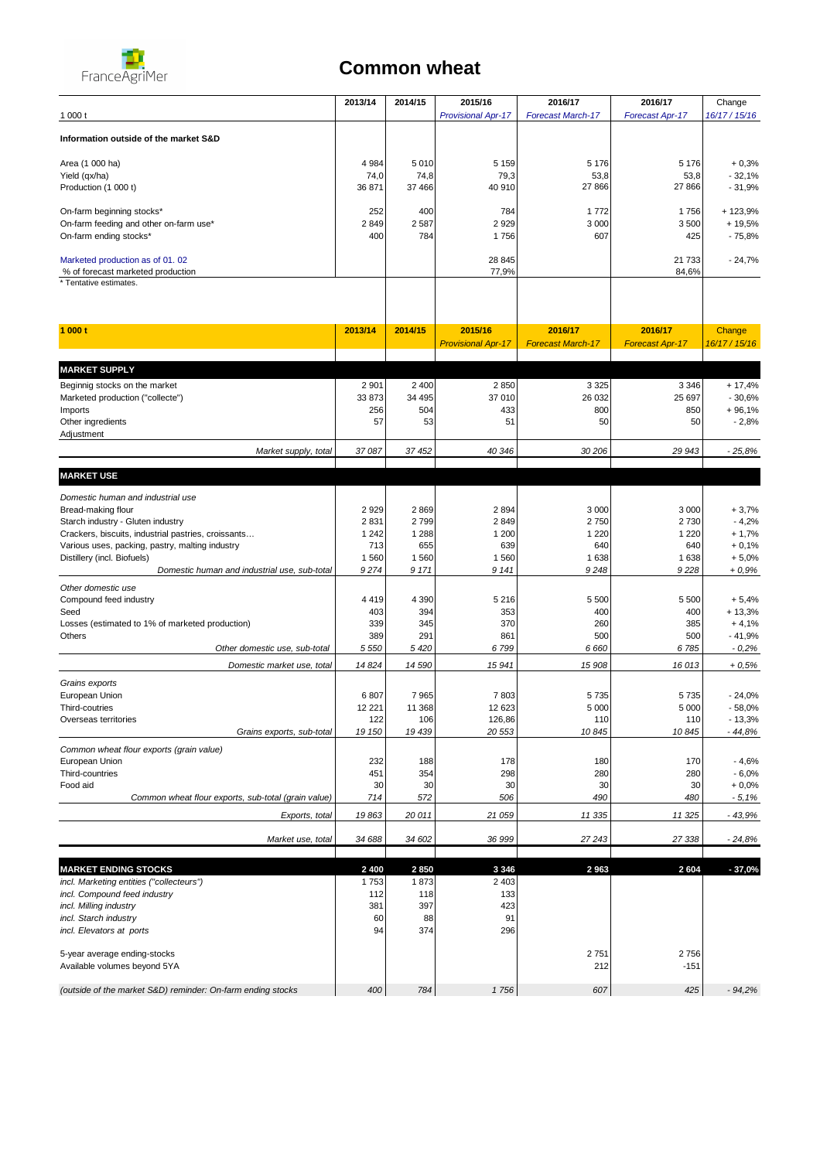

## **Common wheat**

|                                                             | 2013/14         | 2014/15      | 2015/16                   | 2016/17                  | 2016/17                | Change              |
|-------------------------------------------------------------|-----------------|--------------|---------------------------|--------------------------|------------------------|---------------------|
| 1000t                                                       |                 |              | <b>Provisional Apr-17</b> | <b>Forecast March-17</b> | Forecast Apr-17        | 16/17 / 15/16       |
| Information outside of the market S&D                       |                 |              |                           |                          |                        |                     |
| Area (1 000 ha)                                             | 4 9 8 4         | 5 0 1 0      | 5 1 5 9                   | 5 1 7 6                  | 5 1 7 6                | $+0,3%$             |
| Yield (qx/ha)                                               | 74,0            | 74,8         | 79,3                      | 53,8                     | 53,8                   | $-32,1%$            |
| Production (1 000 t)                                        | 36 871          | 37 466       | 40 910                    | 27 866                   | 27 866                 | $-31,9%$            |
|                                                             |                 |              |                           |                          |                        |                     |
| On-farm beginning stocks*                                   | 252             | 400          | 784                       | 1772                     | 1756                   | + 123,9%            |
| On-farm feeding and other on-farm use*                      | 2849            | 2 5 8 7      | 2929                      | 3 0 0 0                  | 3500                   | $+19,5%$            |
| On-farm ending stocks*                                      | 400             | 784          | 1756                      | 607                      | 425                    | $-75,8%$            |
| Marketed production as of 01.02                             |                 |              | 28 845                    |                          | 21 733                 | $-24,7%$            |
| % of forecast marketed production                           |                 |              | 77,9%                     |                          | 84,6%                  |                     |
| * Tentative estimates.                                      |                 |              |                           |                          |                        |                     |
|                                                             |                 |              |                           |                          |                        |                     |
| 1000t                                                       | 2013/14         | 2014/15      | 2015/16                   | 2016/17                  | 2016/17                | Change              |
|                                                             |                 |              | <b>Provisional Apr-17</b> | <b>Forecast March-17</b> | <b>Forecast Apr-17</b> | 16/17 / 15/16       |
|                                                             |                 |              |                           |                          |                        |                     |
| <b>MARKET SUPPLY</b>                                        |                 |              |                           |                          |                        |                     |
| Beginnig stocks on the market                               | 2 9 0 1         | 2 4 0 0      | 2850                      | 3 3 2 5                  | 3 3 4 6                | $+ 17,4%$           |
| Marketed production ("collecte")                            | 33 873          | 34 495       | 37 010                    | 26 032                   | 25 697                 | $-30,6%$            |
| Imports<br>Other ingredients                                | 256<br>57       | 504<br>53    | 433<br>51                 | 800<br>50                | 850<br>50              | $+96,1%$<br>$-2,8%$ |
| Adjustment                                                  |                 |              |                           |                          |                        |                     |
| Market supply, total                                        | 37 087          | 37 452       | 40 346                    | 30 206                   | 29 943                 | $-25,8%$            |
| <b>MARKET USE</b>                                           |                 |              |                           |                          |                        |                     |
|                                                             |                 |              |                           |                          |                        |                     |
| Domestic human and industrial use                           |                 |              |                           |                          |                        |                     |
| Bread-making flour<br>Starch industry - Gluten industry     | 2 9 2 9<br>2831 | 2869<br>2799 | 2894<br>2849              | 3 0 0 0<br>2750          | 3 0 0 0<br>2730        | $+3,7%$<br>$-4,2%$  |
| Crackers, biscuits, industrial pastries, croissants         | 1 2 4 2         | 1 2 8 8      | 1 200                     | 1 2 2 0                  | 1 2 2 0                | $+1,7%$             |
| Various uses, packing, pastry, malting industry             | 713             | 655          | 639                       | 640                      | 640                    | $+0,1%$             |
| Distillery (incl. Biofuels)                                 | 1 5 6 0         | 1 5 6 0      | 1560                      | 1638                     | 1638                   | $+5,0%$             |
| Domestic human and industrial use, sub-total                | 9274            | 9 1 7 1      | 9 1 4 1                   | 9248                     | 9228                   | $+0.9%$             |
| Other domestic use                                          |                 |              |                           |                          |                        |                     |
| Compound feed industry                                      | 4 4 1 9         | 4 3 9 0      | 5 2 1 6                   | 5 5 0 0                  | 5 5 0 0                | $+5,4%$             |
| Seed                                                        | 403             | 394          | 353                       | 400                      | 400                    | $+13,3%$            |
| Losses (estimated to 1% of marketed production)             | 339             | 345          | 370                       | 260                      | 385                    | $+4,1%$             |
| Others                                                      | 389             | 291          | 861                       | 500                      | 500                    | $-41,9%$            |
| Other domestic use, sub-total                               | 5 5 5 0         | 5420         | 6799                      | 6660                     | 6785                   | $-0,2%$             |
| Domestic market use, total                                  | 14824           | 14 590       | 15 941                    | 15 908                   | 16 013                 | $+0.5%$             |
| Grains exports                                              |                 |              |                           |                          |                        |                     |
| European Union                                              | 6 807           | 7 9 6 5      | 7803                      | 5735                     | 5735                   | $-24,0%$            |
| Third-coutries                                              | 12 221          | 11 368       | 12 623                    | 5 0 0 0                  | 5 0 0 0                | $-58,0%$            |
| Overseas territories                                        | 122             | 106          | 126,86                    | 110                      | 110                    | $-13,3%$            |
| Grains exports, sub-total                                   | 19 150          | 19 439       | 20 553                    | 10845                    | 10845                  | $-44.8%$            |
| Common wheat flour exports (grain value)                    |                 |              |                           |                          |                        |                     |
| European Union                                              | 232             | 188          | 178                       | 180                      | 170                    | $-4,6%$             |
| Third-countries<br>Food aid                                 | 451<br>30       | 354<br>30    | 298<br>30                 | 280<br>30                | 280<br>30              | $-6,0%$<br>$+0,0%$  |
| Common wheat flour exports, sub-total (grain value)         | 714             | 572          | 506                       | 490                      | 480                    | $-5,1%$             |
| Exports, total                                              | 19863           | 20011        | 21 059                    | 11 335                   | 11 325                 | $-43,9%$            |
| Market use, total                                           | 34 688          | 34 602       | 36 999                    | 27243                    | 27 338                 | $-24,8%$            |
|                                                             |                 |              |                           |                          |                        |                     |
| <b>MARKET ENDING STOCKS</b>                                 | 2 4 0 0         | 2850         | 3 3 4 6                   | 2963                     | 2604                   | $-37,0%$            |
| incl. Marketing entities ("collecteurs")                    | 1753            | 1873         | 2 4 0 3                   |                          |                        |                     |
| incl. Compound feed industry                                | 112             | 118          | 133                       |                          |                        |                     |
| incl. Milling industry                                      | 381             | 397          | 423                       |                          |                        |                     |
| incl. Starch industry                                       | 60<br>94        | 88<br>374    | 91<br>296                 |                          |                        |                     |
| incl. Elevators at ports                                    |                 |              |                           |                          |                        |                     |
| 5-year average ending-stocks                                |                 |              |                           | 2751                     | 2756                   |                     |
| Available volumes beyond 5YA                                |                 |              |                           | 212                      | $-151$                 |                     |
| (outside of the market S&D) reminder: On-farm ending stocks | 400             | 784          | 1756                      | 607                      | 425                    | $-94.2%$            |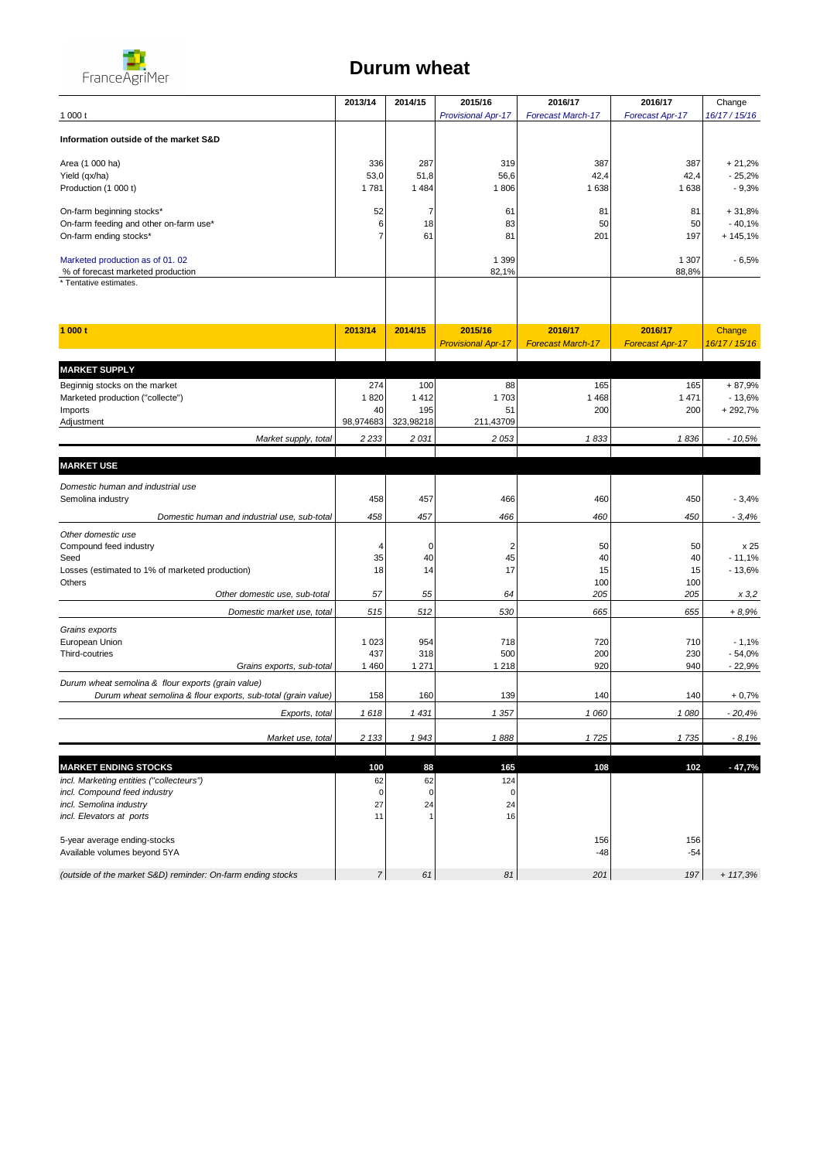

## **Durum wheat**

|                                                                          | 2013/14          | 2014/15         | 2015/16                   | 2016/17                  | 2016/17                | Change               |
|--------------------------------------------------------------------------|------------------|-----------------|---------------------------|--------------------------|------------------------|----------------------|
| 1000t                                                                    |                  |                 | <b>Provisional Apr-17</b> | <b>Forecast March-17</b> | Forecast Apr-17        | 16/17 / 15/16        |
| Information outside of the market S&D                                    |                  |                 |                           |                          |                        |                      |
| Area (1 000 ha)                                                          | 336              | 287             | 319                       | 387                      | 387                    | $+21,2%$             |
| Yield (qx/ha)                                                            | 53,0             | 51,8            | 56,6                      | 42,4                     | 42,4                   | $-25,2%$             |
| Production (1 000 t)                                                     | 1 781            | 1 4 8 4         | 1806                      | 1638                     | 1638                   | $-9,3%$              |
|                                                                          |                  |                 | 61                        | 81                       | 81                     |                      |
| On-farm beginning stocks*<br>On-farm feeding and other on-farm use*      | 52<br>6          | 7<br>18         | 83                        | 50                       | 50                     | $+31,8%$<br>$-40,1%$ |
| On-farm ending stocks*                                                   |                  | 61              | 81                        | 201                      | 197                    | $+145,1%$            |
|                                                                          |                  |                 |                           |                          |                        |                      |
| Marketed production as of 01.02                                          |                  |                 | 1 3 9 9                   |                          | 1 307                  | - 6,5%               |
| % of forecast marketed production<br>* Tentative estimates.              |                  |                 | 82,1%                     |                          | 88,8%                  |                      |
|                                                                          |                  |                 |                           |                          |                        |                      |
| 1 000 t                                                                  | 2013/14          | 2014/15         | 2015/16                   | 2016/17                  | 2016/17                | Change               |
|                                                                          |                  |                 | <b>Provisional Apr-17</b> | <b>Forecast March-17</b> | <b>Forecast Apr-17</b> | 16/17 / 15/16        |
|                                                                          |                  |                 |                           |                          |                        |                      |
| <b>MARKET SUPPLY</b>                                                     |                  |                 |                           |                          |                        |                      |
| Beginnig stocks on the market                                            | 274              | 100             | 88                        | 165                      | 165                    | $+87,9%$             |
| Marketed production ("collecte")                                         | 1820<br>40       | 1 4 1 2<br>195  | 1703                      | 1 4 6 8<br>200           | 1 4 7 1                | $-13,6%$             |
| Imports<br>Adjustment                                                    | 98,974683        | 323,98218       | 51<br>211,43709           |                          | 200                    | +292,7%              |
| Market supply, total                                                     | 2 2 3 3          | 2031            | 2 0 5 3                   | 1833                     | 1836                   | $-10,5%$             |
|                                                                          |                  |                 |                           |                          |                        |                      |
| <b>MARKET USE</b>                                                        |                  |                 |                           |                          |                        |                      |
| Domestic human and industrial use                                        |                  |                 |                           |                          |                        |                      |
| Semolina industry                                                        | 458              | 457             | 466                       | 460                      | 450                    | $-3,4%$              |
| Domestic human and industrial use, sub-total                             | 458              | 457             | 466                       | 460                      | 450                    | $-3,4%$              |
| Other domestic use                                                       |                  |                 |                           |                          |                        |                      |
| Compound feed industry                                                   | 4                | 0               | 2                         | 50                       | 50                     | x 25                 |
| Seed                                                                     | 35<br>18         | 40<br>14        | 45<br>17                  | 40<br>15                 | 40<br>15               | $-11,1%$<br>$-13,6%$ |
| Losses (estimated to 1% of marketed production)<br>Others                |                  |                 |                           | 100                      | 100                    |                      |
| Other domestic use, sub-total                                            | 57               | 55              | 64                        | 205                      | 205                    | x 3,2                |
| Domestic market use, total                                               | 515              | 512             | 530                       | 665                      | 655                    | $+8,9%$              |
| Grains exports                                                           |                  |                 |                           |                          |                        |                      |
| European Union                                                           | 1 0 2 3          | 954             | 718                       | 720                      | 710                    | $-1,1%$              |
| Third-coutries                                                           | 437              | 318             | 500                       | 200                      | 230                    | $-54,0%$             |
| Grains exports, sub-total                                                | 1 4 6 0          | 1 2 7 1         | 1 2 1 8                   | 920                      | 940                    | $-22,9%$             |
| Durum wheat semolina & flour exports (grain value)                       |                  |                 |                           |                          |                        |                      |
| Durum wheat semolina & flour exports, sub-total (grain value)            | 158              | 160             | 139                       | 140                      | 140                    | $+0,7%$              |
| Exports, total                                                           | 1618             | 1 431           | 1 357                     | 1 O6O                    | 1080                   | 20,4%                |
| Market use, total                                                        | 2 1 3 3          | 1943            | 1888                      | 1725                     | 1735                   | $-8,1%$              |
|                                                                          |                  |                 |                           |                          |                        |                      |
| <b>MARKET ENDING STOCKS</b>                                              | 100              | 88              | 165                       | 108                      | 102                    | $-47,7%$             |
| incl. Marketing entities ("collecteurs")<br>incl. Compound feed industry | 62<br>$\pmb{0}$  | 62<br>$\pmb{0}$ | 124<br>$\pmb{0}$          |                          |                        |                      |
| incl. Semolina industry                                                  | 27               | 24              | 24                        |                          |                        |                      |
| incl. Elevators at ports                                                 | 11               | $\overline{1}$  | 16                        |                          |                        |                      |
|                                                                          |                  |                 |                           |                          |                        |                      |
| 5-year average ending-stocks                                             |                  |                 |                           | 156                      | 156                    |                      |
| Available volumes beyond 5YA                                             |                  |                 |                           | $-48$                    | $-54$                  |                      |
| (outside of the market S&D) reminder: On-farm ending stocks              | $\boldsymbol{7}$ | 61              | 81                        | 201                      | 197                    | $+ 117,3%$           |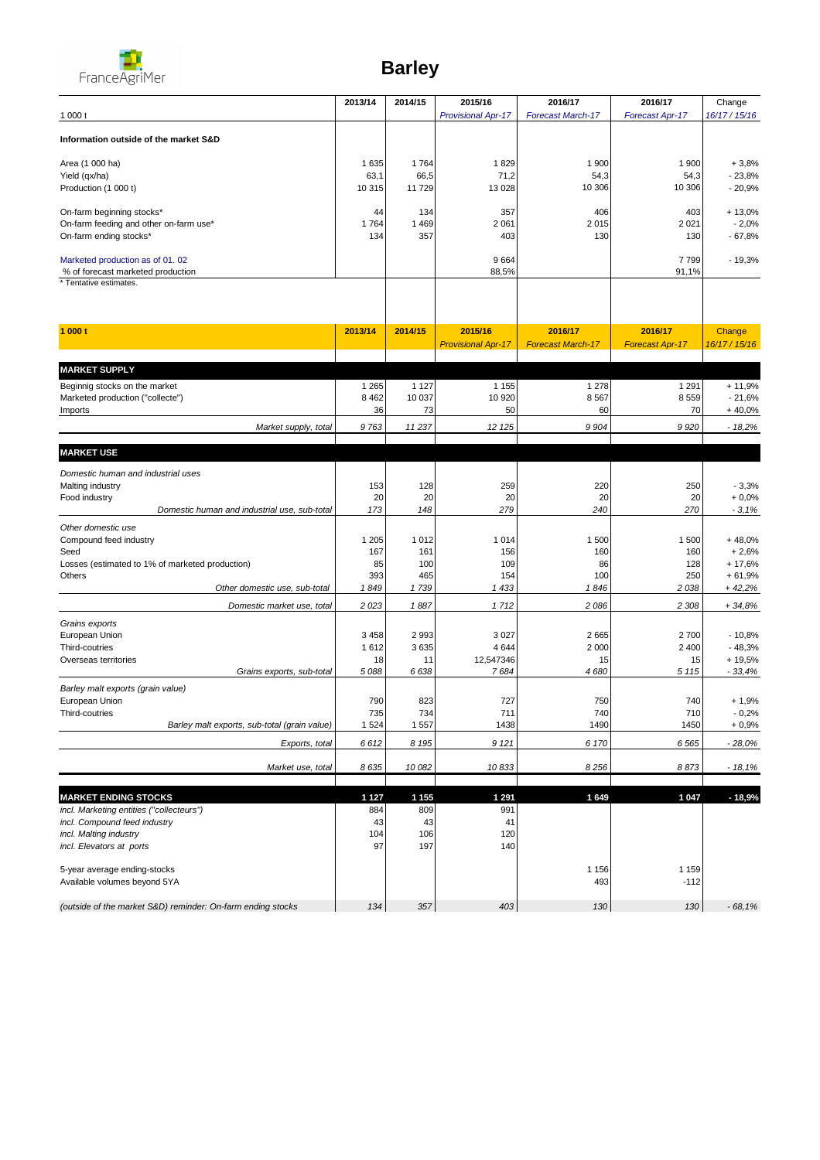

## **Barley**

|                                                                      | 2013/14       | 2014/15       | 2015/16                   | 2016/17                  | 2016/17                | Change               |
|----------------------------------------------------------------------|---------------|---------------|---------------------------|--------------------------|------------------------|----------------------|
| 1 000 t                                                              |               |               | <b>Provisional Apr-17</b> | <b>Forecast March-17</b> | Forecast Apr-17        | 16/17/15/16          |
| Information outside of the market S&D                                |               |               |                           |                          |                        |                      |
|                                                                      |               |               |                           |                          |                        |                      |
| Area (1 000 ha)                                                      | 1 6 3 5       | 1764          | 1829                      | 1 900                    | 1 900                  | $+3.8%$              |
| Yield (qx/ha)                                                        | 63,1          | 66,5          | 71,2                      | 54,3                     | 54,3                   | $-23,8%$             |
| Production (1 000 t)                                                 | 10 315        | 11 729        | 13 0 28                   | 10 306                   | 10 306                 | $-20,9%$             |
| On-farm beginning stocks*                                            | 44            | 134           | 357                       | 406                      | 403                    | $+13,0%$             |
| On-farm feeding and other on-farm use*                               | 1764          | 1 4 6 9       | 2 0 6 1                   | 2015                     | 2 0 21                 | $-2,0%$              |
| On-farm ending stocks*                                               | 134           | 357           | 403                       | 130                      | 130                    | $-67,8%$             |
|                                                                      |               |               |                           |                          |                        |                      |
| Marketed production as of 01.02<br>% of forecast marketed production |               |               | 9664<br>88,5%             |                          | 7799<br>91,1%          | $-19,3%$             |
| * Tentative estimates.                                               |               |               |                           |                          |                        |                      |
|                                                                      |               |               |                           |                          |                        |                      |
|                                                                      |               |               |                           |                          |                        |                      |
| 1000t                                                                | 2013/14       | 2014/15       | 2015/16                   | 2016/17                  | 2016/17                | Change               |
|                                                                      |               |               | <b>Provisional Apr-17</b> | <b>Forecast March-17</b> | <b>Forecast Apr-17</b> | 16/17 / 15/16        |
|                                                                      |               |               |                           |                          |                        |                      |
| <b>MARKET SUPPLY</b>                                                 |               |               |                           |                          |                        |                      |
| Beginnig stocks on the market                                        | 1 2 6 5       | 1 1 2 7       | 1 1 5 5                   | 1 2 7 8                  | 1 2 9 1                | $+11,9%$             |
| Marketed production ("collecte")<br>Imports                          | 8 4 6 2<br>36 | 10 037<br>73  | 10 920<br>50              | 8567<br>60               | 8559<br>70             | $-21,6%$<br>$+40,0%$ |
|                                                                      |               |               |                           |                          |                        |                      |
| Market supply, total                                                 | 9763          | 11237         | 12 125                    | 9 9 0 4                  | 9 9 2 0                | $-18,2%$             |
| <b>MARKET USE</b>                                                    |               |               |                           |                          |                        |                      |
|                                                                      |               |               |                           |                          |                        |                      |
| Domestic human and industrial uses<br>Malting industry               | 153           | 128           | 259                       | 220                      | 250                    | $-3,3%$              |
| Food industry                                                        | 20            | 20            | 20                        | 20                       | 20                     | $+0,0%$              |
| Domestic human and industrial use, sub-total                         | 173           | 148           | 279                       | 240                      | 270                    | $-3,1%$              |
| Other domestic use                                                   |               |               |                           |                          |                        |                      |
| Compound feed industry                                               | 1 205         | 1 0 1 2       | 1 0 1 4                   | 1 500                    | 1 500                  | $+48,0%$             |
| Seed                                                                 | 167           | 161           | 156                       | 160                      | 160                    | $+2,6%$              |
| Losses (estimated to 1% of marketed production)                      | 85            | 100           | 109                       | 86                       | 128                    | $+17,6%$             |
| Others                                                               | 393           | 465           | 154                       | 100                      | 250                    | $+61,9%$             |
| Other domestic use, sub-total                                        | 1849          | 1739          | 1 4 3 3                   | 1846                     | 2 0 38                 | $+42,2%$             |
| Domestic market use, total                                           | 2 0 23        | 1887          | 1712                      | 2 0 8 6                  | 2 308                  | $+34,8%$             |
| Grains exports                                                       |               |               |                           |                          |                        |                      |
| European Union                                                       | 3 4 5 8       | 2 9 9 3       | 3 0 2 7                   | 2665                     | 2700                   | $-10,8%$             |
| Third-coutries<br>Overseas territories                               | 1612<br>18    | 3 6 3 5<br>11 | 4 6 4 4<br>12,547346      | 2 0 0 0<br>15            | 2 4 0 0<br>15          | $-48,3%$<br>$+19,5%$ |
| Grains exports, sub-total                                            | 5 0 8 8       | 6638          | 7684                      | 4680                     | 5 1 1 5                | $-33,4%$             |
| Barley malt exports (grain value)                                    |               |               |                           |                          |                        |                      |
| European Union                                                       | 790           | 823           | 727                       | 750                      | 740                    | $+1,9%$              |
| Third-coutries                                                       | 735           | 734           | 711                       | 740                      | 710                    | $-0,2%$              |
| Barley malt exports, sub-total (grain value)                         | 1 5 2 4       | 1 5 5 7       | 1438                      | 1490                     | 1450                   | $+0,9%$              |
| Exports, total                                                       | 6612          | 8 1 9 5       | 9 1 2 1                   | 6 170                    | 6 5 65                 | $-28,0%$             |
|                                                                      |               |               |                           |                          |                        |                      |
| Market use, total                                                    | 8635          | 10 082        | 10833                     | 8256                     | 8873                   | $-18,1%$             |
| <b>MARKET ENDING STOCKS</b>                                          | 1 1 2 7       | 1 1 5 5       | 1 2 9 1                   | 1649                     | 1 0 4 7                | $-18,9%$             |
| incl. Marketing entities ("collecteurs")                             | 884           | 809           | 991                       |                          |                        |                      |
| incl. Compound feed industry                                         | 43            | 43            | 41                        |                          |                        |                      |
| incl. Malting industry                                               | 104           | 106           | 120                       |                          |                        |                      |
| incl. Elevators at ports                                             | 97            | 197           | 140                       |                          |                        |                      |
|                                                                      |               |               |                           |                          |                        |                      |
| 5-year average ending-stocks<br>Available volumes beyond 5YA         |               |               |                           | 1 1 5 6<br>493           | 1 1 5 9<br>$-112$      |                      |
|                                                                      |               |               |                           |                          |                        |                      |
| (outside of the market S&D) reminder: On-farm ending stocks          | 134           | 357           | 403                       | 130                      | 130                    | $-68,1%$             |